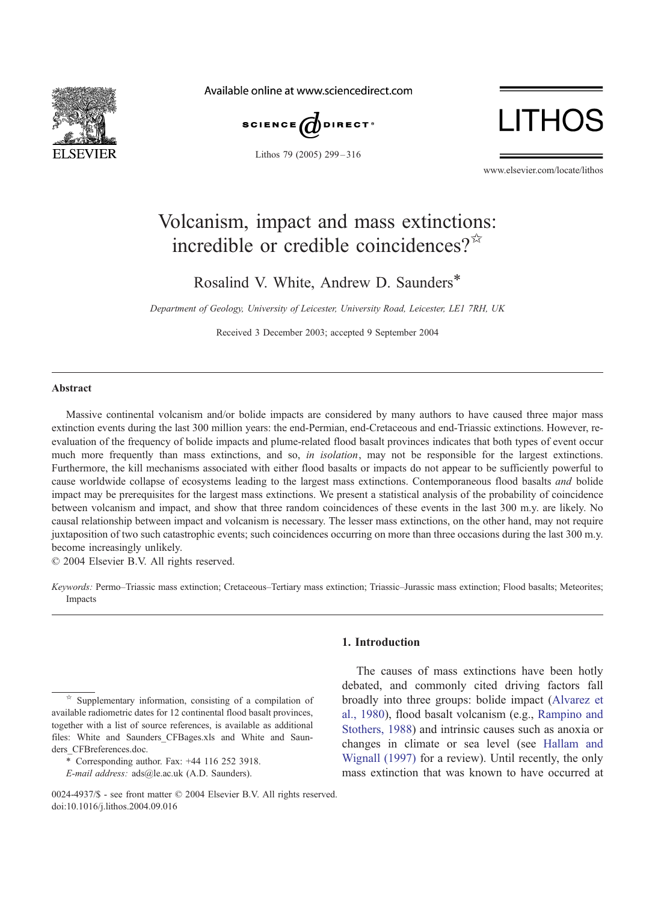

Available online at www.sciencedirect.com



Lithos 79 (2005) 299 – 316



www.elsevier.com/locate/lithos

# Volcanism, impact and mass extinctions: incredible or credible coincidences? $\vec{X}$

Rosalind V. White, Andrew D. Saunders\*

Department of Geology, University of Leicester, University Road, Leicester, LE1 7RH, UK

Received 3 December 2003; accepted 9 September 2004

#### Abstract

Massive continental volcanism and/or bolide impacts are considered by many authors to have caused three major mass extinction events during the last 300 million years: the end-Permian, end-Cretaceous and end-Triassic extinctions. However, reevaluation of the frequency of bolide impacts and plume-related flood basalt provinces indicates that both types of event occur much more frequently than mass extinctions, and so, in isolation, may not be responsible for the largest extinctions. Furthermore, the kill mechanisms associated with either flood basalts or impacts do not appear to be sufficiently powerful to cause worldwide collapse of ecosystems leading to the largest mass extinctions. Contemporaneous flood basalts and bolide impact may be prerequisites for the largest mass extinctions. We present a statistical analysis of the probability of coincidence between volcanism and impact, and show that three random coincidences of these events in the last 300 m.y. are likely. No causal relationship between impact and volcanism is necessary. The lesser mass extinctions, on the other hand, may not require juxtaposition of two such catastrophic events; such coincidences occurring on more than three occasions during the last 300 m.y. become increasingly unlikely.

 $© 2004 Elsevier B.V. All rights reserved.$ 

Keywords: Permo–Triassic mass extinction; Cretaceous–Tertiary mass extinction; Triassic–Jurassic mass extinction; Flood basalts; Meteorites; Impacts

# 1. Introduction

The causes of mass extinctions have been hotly debated, and commonly cited driving factors fall broadly into three groups: bolide impact ([Alvarez et](#page-14-0) al., 1980), flood basalt volcanism (e.g., [Rampino and](#page-16-0) Stothers, 1988) and intrinsic causes such as anoxia or changes in climate or sea level (see [Hallam and](#page-15-0) Wignall (1997) for a review). Until recently, the only mass extinction that was known to have occurred at

 $\overrightarrow{B}$  Supplementary information, consisting of a compilation of available radiometric dates for 12 continental flood basalt provinces, together with a list of source references, is available as additional files: White and Saunders\_CFBages.xls and White and Saunders\_CFBreferences.doc.

<sup>\*</sup> Corresponding author. Fax: +44 116 252 3918.

E-mail address: ads@le.ac.uk (A.D. Saunders).

 $0024-4937/S$  - see front matter  $\odot$  2004 Elsevier B.V. All rights reserved. doi:10.1016/j.lithos.2004.09.016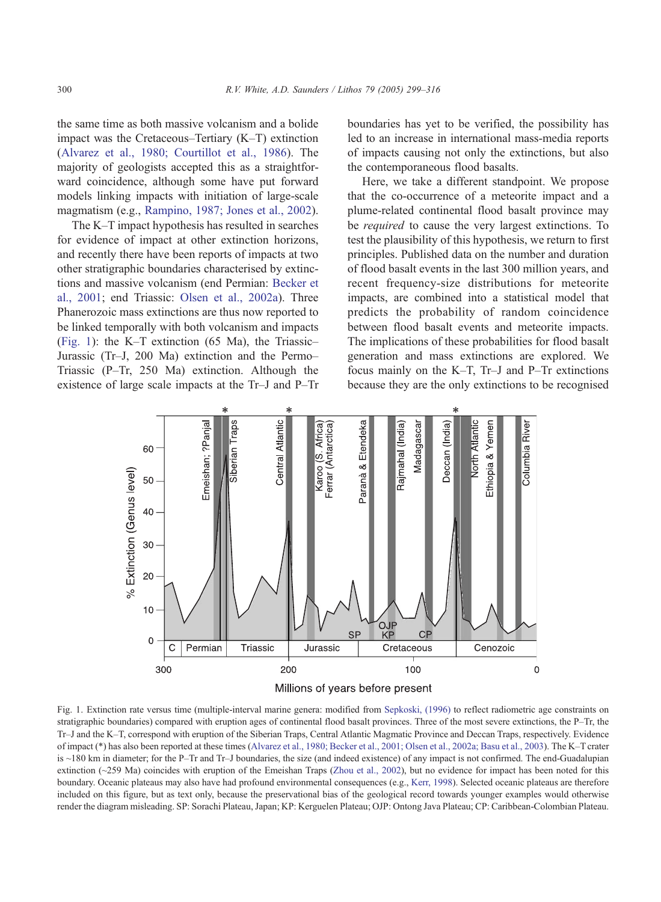<span id="page-1-0"></span>the same time as both massive volcanism and a bolide impact was the Cretaceous–Tertiary (K–T) extinction ([Alvarez et al., 1980; Courtillot et al., 1986\)](#page-14-0). The majority of geologists accepted this as a straightforward coincidence, although some have put forward models linking impacts with initiation of large-scale magmatism (e.g., [Rampino, 1987; Jones et al., 2002\)](#page-16-0).

The K–T impact hypothesis has resulted in searches for evidence of impact at other extinction horizons, and recently there have been reports of impacts at two other stratigraphic boundaries characterised by extinctions and massive volcanism (end Permian: [Becker et](#page-14-0) al., 2001; end Triassic: [Olsen et al., 2002a\)](#page-16-0). Three Phanerozoic mass extinctions are thus now reported to be linked temporally with both volcanism and impacts (Fig. 1): the K–T extinction (65 Ma), the Triassic– Jurassic (Tr–J, 200 Ma) extinction and the Permo– Triassic (P–Tr, 250 Ma) extinction. Although the existence of large scale impacts at the Tr–J and P–Tr boundaries has yet to be verified, the possibility has led to an increase in international mass-media reports of impacts causing not only the extinctions, but also the contemporaneous flood basalts.

Here, we take a different standpoint. We propose that the co-occurrence of a meteorite impact and a plume-related continental flood basalt province may be *required* to cause the very largest extinctions. To test the plausibility of this hypothesis, we return to first principles. Published data on the number and duration of flood basalt events in the last 300 million years, and recent frequency-size distributions for meteorite impacts, are combined into a statistical model that predicts the probability of random coincidence between flood basalt events and meteorite impacts. The implications of these probabilities for flood basalt generation and mass extinctions are explored. We focus mainly on the K–T, Tr–J and P–Tr extinctions because they are the only extinctions to be recognised



Fig. 1. Extinction rate versus time (multiple-interval marine genera: modified from [Sepkoski, \(1996\)](#page-16-0) to reflect radiometric age constraints on stratigraphic boundaries) compared with eruption ages of continental flood basalt provinces. Three of the most severe extinctions, the P–Tr, the Tr–J and the K–T, correspond with eruption of the Siberian Traps, Central Atlantic Magmatic Province and Deccan Traps, respectively. Evidence of impact (\*) has also been reported at these times ([Alvarez et al., 1980; Becker et al., 2001; Olsen et al., 2002a; Basu et al., 2003\)](#page-14-0). The K–T crater is ~180 km in diameter; for the P–Tr and Tr–J boundaries, the size (and indeed existence) of any impact is not confirmed. The end-Guadalupian extinction (~259 Ma) coincides with eruption of the Emeishan Traps ([Zhou et al., 2002\)](#page-17-0), but no evidence for impact has been noted for this boundary. Oceanic plateaus may also have had profound environmental consequences (e.g., [Kerr, 1998\)](#page-16-0). Selected oceanic plateaus are therefore included on this figure, but as text only, because the preservational bias of the geological record towards younger examples would otherwise render the diagram misleading. SP: Sorachi Plateau, Japan; KP: Kerguelen Plateau; OJP: Ontong Java Plateau; CP: Caribbean-Colombian Plateau.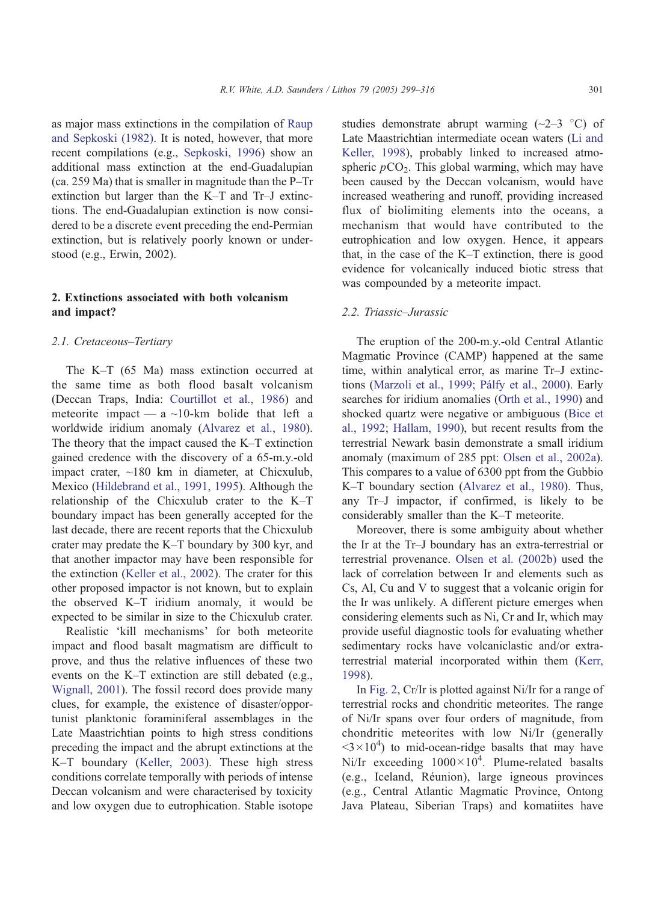as major mass extinctions in the compilation of [Raup](#page-16-0) and Sepkoski (1982). It is noted, however, that more recent compilations (e.g., [Sepkoski, 1996\)](#page-16-0) show an additional mass extinction at the end-Guadalupian (ca. 259 Ma) that is smaller in magnitude than the P–Tr extinction but larger than the K–T and Tr–J extinctions. The end-Guadalupian extinction is now considered to be a discrete event preceding the end-Permian extinction, but is relatively poorly known or understood (e.g., Erwin, 2002).

# 2. Extinctions associated with both volcanism and impact?

#### 2.1. Cretaceous–Tertiary

The K–T (65 Ma) mass extinction occurred at the same time as both flood basalt volcanism (Deccan Traps, India: [Courtillot et al., 1986\)](#page-15-0) and meteorite impact — a  $\sim$ 10-km bolide that left a worldwide iridium anomaly ([Alvarez et al., 1980\)](#page-14-0). The theory that the impact caused the K–T extinction gained credence with the discovery of a 65-m.y.-old impact crater, ~180 km in diameter, at Chicxulub, Mexico ([Hildebrand et al., 1991, 1995\)](#page-15-0). Although the relationship of the Chicxulub crater to the K–T boundary impact has been generally accepted for the last decade, there are recent reports that the Chicxulub crater may predate the K–T boundary by 300 kyr, and that another impactor may have been responsible for the extinction ([Keller et al., 2002\)](#page-16-0). The crater for this other proposed impactor is not known, but to explain the observed K–T iridium anomaly, it would be expected to be similar in size to the Chicxulub crater.

Realistic 'kill mechanisms' for both meteorite impact and flood basalt magmatism are difficult to prove, and thus the relative influences of these two events on the K–T extinction are still debated (e.g., [Wignall, 2001\)](#page-17-0). The fossil record does provide many clues, for example, the existence of disaster/opportunist planktonic foraminiferal assemblages in the Late Maastrichtian points to high stress conditions preceding the impact and the abrupt extinctions at the K–T boundary ([Keller, 2003\)](#page-15-0). These high stress conditions correlate temporally with periods of intense Deccan volcanism and were characterised by toxicity and low oxygen due to eutrophication. Stable isotope studies demonstrate abrupt warming  $(\sim 2-3$  °C) of Late Maastrichtian intermediate ocean waters ([Li and](#page-16-0) Keller, 1998), probably linked to increased atmospheric  $pCO<sub>2</sub>$ . This global warming, which may have been caused by the Deccan volcanism, would have increased weathering and runoff, providing increased flux of biolimiting elements into the oceans, a mechanism that would have contributed to the eutrophication and low oxygen. Hence, it appears that, in the case of the K–T extinction, there is good evidence for volcanically induced biotic stress that was compounded by a meteorite impact.

# 2.2. Triassic–Jurassic

The eruption of the 200-m.y.-old Central Atlantic Magmatic Province (CAMP) happened at the same time, within analytical error, as marine Tr–J extinctions (Marzoli et al., 1999; Pálfy et al., 2000). Early searches for iridium anomalies ([Orth et al., 1990\)](#page-16-0) and shocked quartz were negative or ambiguous ([Bice et](#page-14-0) al., 1992; Hallam, 1990), but recent results from the terrestrial Newark basin demonstrate a small iridium anomaly (maximum of 285 ppt: [Olsen et al., 2002a\)](#page-16-0). This compares to a value of 6300 ppt from the Gubbio K–T boundary section ([Alvarez et al., 1980\)](#page-14-0). Thus, any Tr–J impactor, if confirmed, is likely to be considerably smaller than the K–T meteorite.

Moreover, there is some ambiguity about whether the Ir at the Tr–J boundary has an extra-terrestrial or terrestrial provenance. [Olsen et al. \(2002b\)](#page-16-0) used the lack of correlation between Ir and elements such as Cs, Al, Cu and V to suggest that a volcanic origin for the Ir was unlikely. A different picture emerges when considering elements such as Ni, Cr and Ir, which may provide useful diagnostic tools for evaluating whether sedimentary rocks have volcaniclastic and/or extraterrestrial material incorporated within them ([Kerr,](#page-16-0) 1998).

In [Fig. 2,](#page-3-0) Cr/Ir is plotted against Ni/Ir for a range of terrestrial rocks and chondritic meteorites. The range of Ni/Ir spans over four orders of magnitude, from chondritic meteorites with low Ni/Ir (generally  $3 \times 10^4$ ) to mid-ocean-ridge basalts that may have Ni/Ir exceeding  $1000\times10^4$ . Plume-related basalts (e.g., Iceland, Re´union), large igneous provinces (e.g., Central Atlantic Magmatic Province, Ontong Java Plateau, Siberian Traps) and komatiites have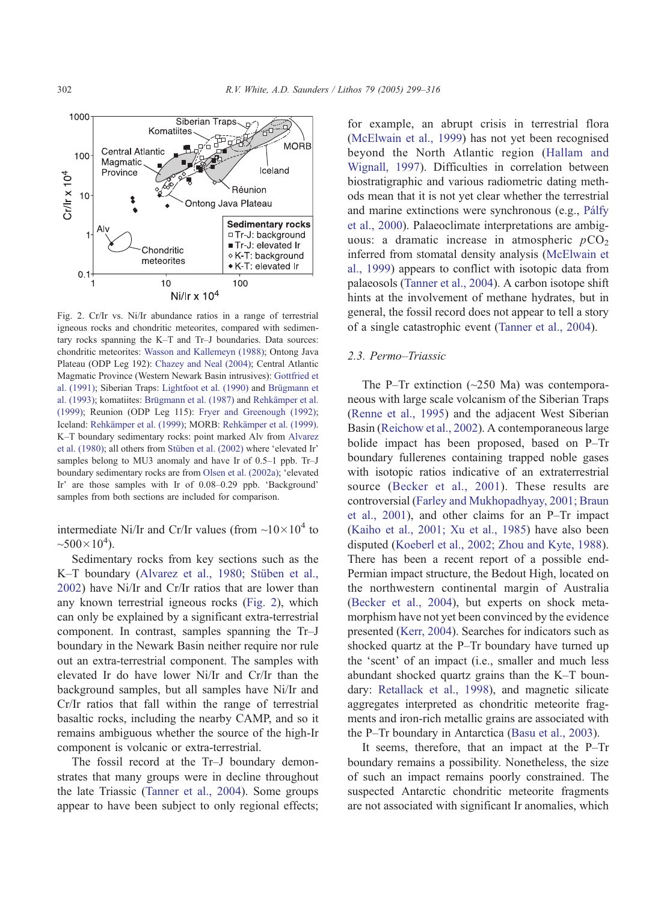**MORB** 

Iceland

Réunion

Ontong Java Plateau



**Siberian Traps** 

Komatiites

**Central Atlantic** 

Magmatic Province

boundary sedimentary rocks are from [Olsen et al. \(2002a\);](#page-16-0) 'elevated Ir' are those samples with Ir of  $0.08-0.29$  ppb. 'Background' samples from both sections are included for comparison.

intermediate Ni/Ir and Cr/Ir values (from  $\sim 10 \times 10^4$  to  $~500 \times 10^4$ ).

Sedimentary rocks from key sections such as the K–T boundary (Alvarez et al., 1980; Stüben et al., 2002) have Ni/Ir and Cr/Ir ratios that are lower than any known terrestrial igneous rocks (Fig. 2), which can only be explained by a significant extra-terrestrial component. In contrast, samples spanning the Tr–J boundary in the Newark Basin neither require nor rule out an extra-terrestrial component. The samples with elevated Ir do have lower Ni/Ir and Cr/Ir than the background samples, but all samples have Ni/Ir and Cr/Ir ratios that fall within the range of terrestrial basaltic rocks, including the nearby CAMP, and so it remains ambiguous whether the source of the high-Ir component is volcanic or extra-terrestrial.

The fossil record at the Tr–J boundary demonstrates that many groups were in decline throughout the late Triassic ([Tanner et al., 2004\)](#page-17-0). Some groups appear to have been subject to only regional effects; for example, an abrupt crisis in terrestrial flora ([McElwain et al., 1999\)](#page-16-0) has not yet been recognised beyond the North Atlantic region ([Hallam and](#page-15-0) Wignall, 1997). Difficulties in correlation between biostratigraphic and various radiometric dating methods mean that it is not yet clear whether the terrestrial and marine extinctions were synchronous (e.g., Pálfy et al., 2000). Palaeoclimate interpretations are ambiguous: a dramatic increase in atmospheric  $pCO<sub>2</sub>$ inferred from stomatal density analysis ([McElwain et](#page-16-0) al., 1999) appears to conflict with isotopic data from palaeosols ([Tanner et al., 2004\)](#page-17-0). A carbon isotope shift hints at the involvement of methane hydrates, but in general, the fossil record does not appear to tell a story of a single catastrophic event ([Tanner et al., 2004\)](#page-17-0).

# 2.3. Permo–Triassic

The P–Tr extinction (~250 Ma) was contemporaneous with large scale volcanism of the Siberian Traps ([Renne et al., 1995\)](#page-16-0) and the adjacent West Siberian Basin ([Reichow et al., 2002\)](#page-16-0). A contemporaneous large bolide impact has been proposed, based on P–Tr boundary fullerenes containing trapped noble gases with isotopic ratios indicative of an extraterrestrial source ([Becker et al., 2001\)](#page-14-0). These results are controversial ([Farley and Mukhopadhyay, 2001; Braun](#page-15-0) et al., 2001), and other claims for an P–Tr impact ([Kaiho et al., 2001; Xu et al., 1985\)](#page-15-0) have also been disputed ([Koeberl et al., 2002; Zhou and Kyte, 1988\)](#page-16-0). There has been a recent report of a possible end-Permian impact structure, the Bedout High, located on the northwestern continental margin of Australia ([Becker et al., 2004\)](#page-14-0), but experts on shock metamorphism have not yet been convinced by the evidence presented ([Kerr, 2004\)](#page-16-0). Searches for indicators such as shocked quartz at the P–Tr boundary have turned up the 'scent' of an impact (i.e., smaller and much less abundant shocked quartz grains than the K–T boundary: [Retallack et al., 1998\)](#page-16-0), and magnetic silicate aggregates interpreted as chondritic meteorite fragments and iron-rich metallic grains are associated with the P–Tr boundary in Antarctica ([Basu et al., 2003\)](#page-14-0).

It seems, therefore, that an impact at the P–Tr boundary remains a possibility. Nonetheless, the size of such an impact remains poorly constrained. The suspected Antarctic chondritic meteorite fragments are not associated with significant Ir anomalies, which

<span id="page-3-0"></span>1000

100

 $10$ 

 $Crlr \times 10<sup>4</sup>$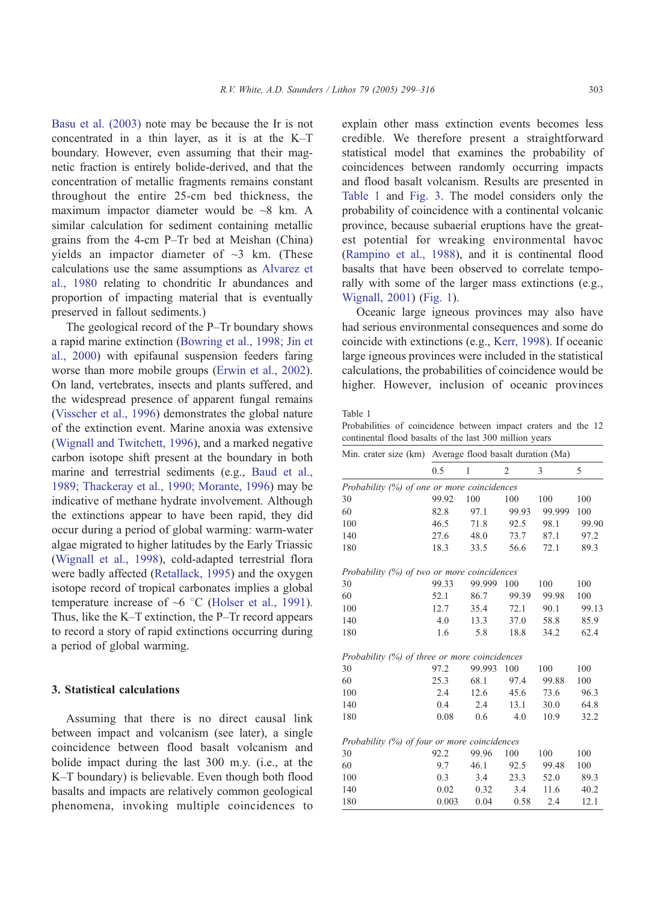<span id="page-4-0"></span>[Basu et al. \(2003\)](#page-14-0) note may be because the Ir is not concentrated in a thin layer, as it is at the K–T boundary. However, even assuming that their magnetic fraction is entirely bolide-derived, and that the concentration of metallic fragments remains constant throughout the entire 25-cm bed thickness, the maximum impactor diameter would be ~8 km. A similar calculation for sediment containing metallic grains from the 4-cm P–Tr bed at Meishan (China) yields an impactor diameter of  $\sim$ 3 km. (These calculations use the same assumptions as [Alvarez et](#page-14-0) al., 1980 relating to chondritic Ir abundances and proportion of impacting material that is eventually preserved in fallout sediments.)

The geological record of the P–Tr boundary shows a rapid marine extinction ([Bowring et al., 1998; Jin et](#page-14-0) al., 2000) with epifaunal suspension feeders faring worse than more mobile groups ([Erwin et al., 2002\)](#page-15-0). On land, vertebrates, insects and plants suffered, and the widespread presence of apparent fungal remains ([Visscher et al., 1996\)](#page-17-0) demonstrates the global nature of the extinction event. Marine anoxia was extensive ([Wignall and Twitchett, 1996\)](#page-17-0), and a marked negative carbon isotope shift present at the boundary in both marine and terrestrial sediments (e.g., [Baud et al.,](#page-14-0) 1989; Thackeray et al., 1990; Morante, 1996) may be indicative of methane hydrate involvement. Although the extinctions appear to have been rapid, they did occur during a period of global warming: warm-water algae migrated to higher latitudes by the Early Triassic ([Wignall et al., 1998\)](#page-17-0), cold-adapted terrestrial flora were badly affected ([Retallack, 1995\)](#page-16-0) and the oxygen isotope record of tropical carbonates implies a global temperature increase of  $\sim$ 6 °C ([Holser et al., 1991\)](#page-15-0). Thus, like the K–T extinction, the P–Tr record appears to record a story of rapid extinctions occurring during a period of global warming.

## 3. Statistical calculations

Assuming that there is no direct causal link between impact and volcanism (see later), a single coincidence between flood basalt volcanism and bolide impact during the last 300 m.y. (i.e., at the K–T boundary) is believable. Even though both flood basalts and impacts are relatively common geological phenomena, invoking multiple coincidences to

explain other mass extinction events becomes less credible. We therefore present a straightforward statistical model that examines the probability of coincidences between randomly occurring impacts and flood basalt volcanism. Results are presented in Table 1 and [Fig. 3.](#page-5-0) The model considers only the probability of coincidence with a continental volcanic province, because subaerial eruptions have the greatest potential for wreaking environmental havoc ([Rampino et al., 1988\)](#page-16-0), and it is continental flood basalts that have been observed to correlate temporally with some of the larger mass extinctions (e.g., [Wignall, 2001\)](#page-17-0) ([Fig. 1\)](#page-1-0).

Oceanic large igneous provinces may also have had serious environmental consequences and some do coincide with extinctions (e.g., [Kerr, 1998\)](#page-16-0). If oceanic large igneous provinces were included in the statistical calculations, the probabilities of coincidence would be higher. However, inclusion of oceanic provinces

Table 1

Probabilities of coincidence between impact craters and the 12 continental flood basalts of the last 300 million years

|                                               | Min. crater size (km) Average flood basalt duration (Ma) |              |                |        |       |
|-----------------------------------------------|----------------------------------------------------------|--------------|----------------|--------|-------|
|                                               | 0.5                                                      | $\mathbf{1}$ | $\overline{2}$ | 3      | 5     |
| Probability (%) of one or more coincidences   |                                                          |              |                |        |       |
| 30                                            | 99.92                                                    | 100          | 100            | 100    | 100   |
| 60                                            | 82.8                                                     | 97.1         | 99.93          | 99.999 | 100   |
| 100                                           | 46.5                                                     | 71.8         | 92.5           | 98.1   | 99.90 |
| 140                                           | 27.6                                                     | 48.0         | 73.7           | 87.1   | 97.2  |
| 180                                           | 18.3                                                     | 33.5         | 56.6           | 72.1   | 89.3  |
| Probability (%) of two or more coincidences   |                                                          |              |                |        |       |
| 30                                            | 99.33                                                    | 99.999       | 100            | 100    | 100   |
| 60                                            | 52.1                                                     | 86.7         | 99.39          | 99.98  | 100   |
| 100                                           | 12.7                                                     | 35.4         | 72.1           | 90.1   | 99.13 |
| 140                                           | 4.0                                                      | 13.3         | 37.0           | 58.8   | 85.9  |
| 180                                           | 1.6                                                      | 5.8          | 18.8           | 34.2   | 62.4  |
| Probability (%) of three or more coincidences |                                                          |              |                |        |       |
| 30                                            | 97.2                                                     | 99.993       | 100            | 100    | 100   |
| 60                                            | 25.3                                                     | 68.1         | 97.4           | 99.88  | 100   |
| 100                                           | 2.4                                                      | 12.6         | 45.6           | 73.6   | 96.3  |
| 140                                           | 0.4                                                      | 2.4          | 13.1           | 30.0   | 64.8  |
| 180                                           | 0.08                                                     | 0.6          | 4.0            | 10.9   | 32.2  |
| Probability (%) of four or more coincidences  |                                                          |              |                |        |       |
| 30                                            | 92.2                                                     | 99.96        | 100            | 100    | 100   |
| 60                                            | 9.7                                                      | 46.1         | 92.5           | 99.48  | 100   |
| 100                                           | 0.3                                                      | 3.4          | 23.3           | 52.0   | 89.3  |
| 140                                           | 0.02                                                     | 0.32         | 3.4            | 11.6   | 40.2  |
| 180                                           | 0.003                                                    | 0.04         | 0.58           | 2.4    | 12.1  |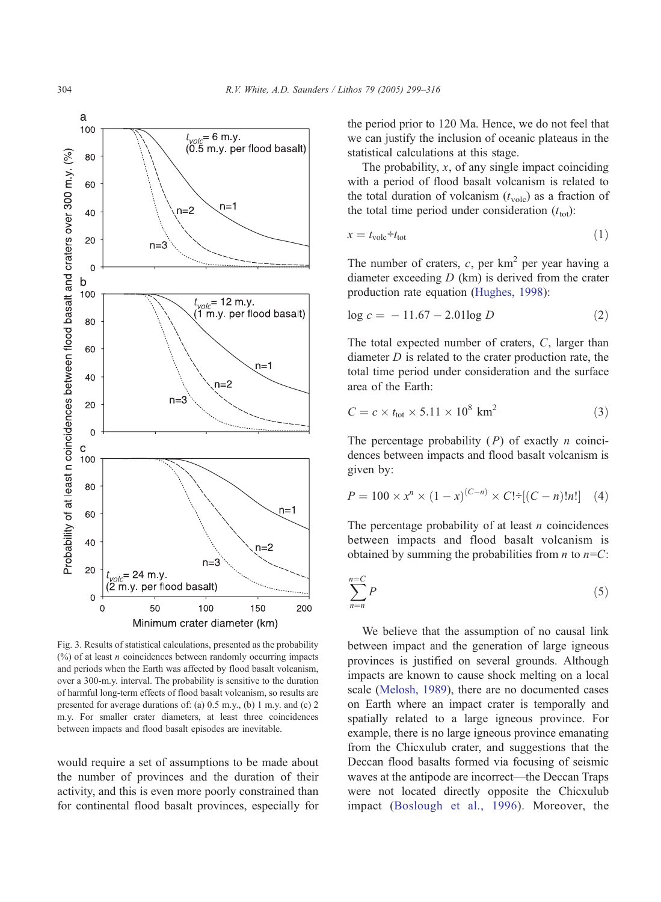<span id="page-5-0"></span>

Fig. 3. Results of statistical calculations, presented as the probability  $(\%)$  of at least *n* coincidences between randomly occurring impacts and periods when the Earth was affected by flood basalt volcanism, over a 300-m.y. interval. The probability is sensitive to the duration of harmful long-term effects of flood basalt volcanism, so results are presented for average durations of: (a) 0.5 m.y., (b) 1 m.y. and (c) 2 m.y. For smaller crater diameters, at least three coincidences between impacts and flood basalt episodes are inevitable.

would require a set of assumptions to be made about the number of provinces and the duration of their activity, and this is even more poorly constrained than for continental flood basalt provinces, especially for the period prior to 120 Ma. Hence, we do not feel that we can justify the inclusion of oceanic plateaus in the statistical calculations at this stage.

The probability,  $x$ , of any single impact coinciding with a period of flood basalt volcanism is related to the total duration of volcanism  $(t_{\text{volc}})$  as a fraction of the total time period under consideration  $(t_{\text{tot}})$ :

$$
x = t_{\text{volc}} \div t_{\text{tot}} \tag{1}
$$

The number of craters,  $c$ , per km<sup>2</sup> per year having a diameter exceeding  $D$  (km) is derived from the crater production rate equation ([Hughes, 1998\)](#page-15-0):

$$
\log c = -11.67 - 2.01 \log D \tag{2}
$$

The total expected number of craters, C, larger than diameter  $D$  is related to the crater production rate, the total time period under consideration and the surface area of the Earth:

$$
C = c \times t_{\text{tot}} \times 5.11 \times 10^8 \text{ km}^2 \tag{3}
$$

The percentage probability  $(P)$  of exactly *n* coincidences between impacts and flood basalt volcanism is given by:

$$
P = 100 \times x^{n} \times (1 - x)^{(C - n)} \times C! \div [(C - n)!n!] \tag{4}
$$

The percentage probability of at least  $n$  coincidences between impacts and flood basalt volcanism is obtained by summing the probabilities from  $n$  to  $n=C$ :

$$
\sum_{n=n}^{n=C} P
$$
 (5)

We believe that the assumption of no causal link between impact and the generation of large igneous provinces is justified on several grounds. Although impacts are known to cause shock melting on a local scale ([Melosh, 1989\)](#page-16-0), there are no documented cases on Earth where an impact crater is temporally and spatially related to a large igneous province. For example, there is no large igneous province emanating from the Chicxulub crater, and suggestions that the Deccan flood basalts formed via focusing of seismic waves at the antipode are incorrect—the Deccan Traps were not located directly opposite the Chicxulub impact ([Boslough et al., 1996\)](#page-14-0). Moreover, the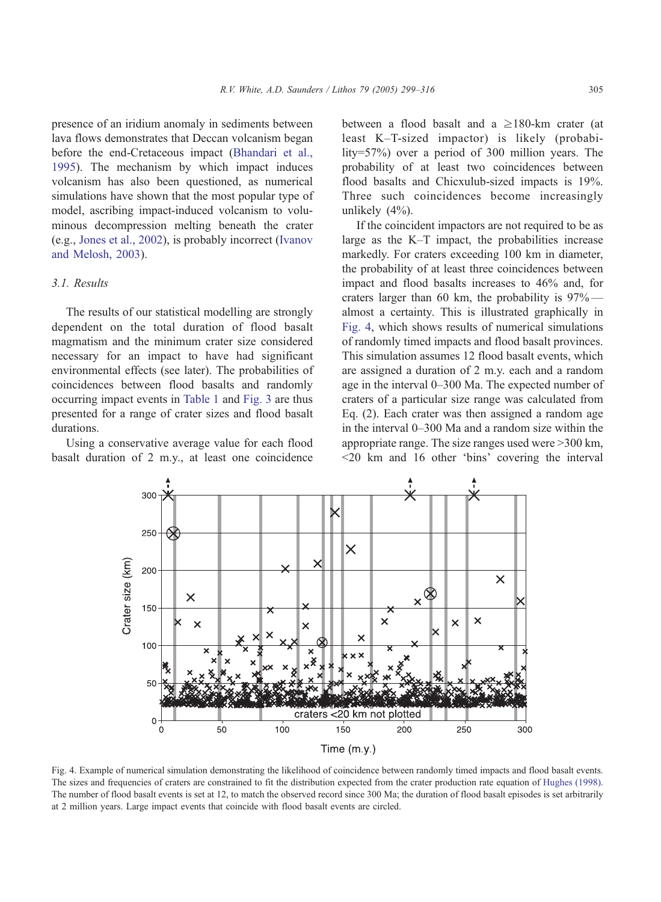<span id="page-6-0"></span>presence of an iridium anomaly in sediments between lava flows demonstrates that Deccan volcanism began before the end-Cretaceous impact ([Bhandari et al.,](#page-14-0) 1995). The mechanism by which impact induces volcanism has also been questioned, as numerical simulations have shown that the most popular type of model, ascribing impact-induced volcanism to voluminous decompression melting beneath the crater (e.g., [Jones et al., 2002\)](#page-15-0), is probably incorrect ([Ivanov](#page-15-0) and Melosh, 2003).

## 3.1. Results

The results of our statistical modelling are strongly dependent on the total duration of flood basalt magmatism and the minimum crater size considered necessary for an impact to have had significant environmental effects (see later). The probabilities of coincidences between flood basalts and randomly occurring impact events in [Table 1](#page-4-0) and [Fig. 3](#page-5-0) are thus presented for a range of crater sizes and flood basalt durations.

Using a conservative average value for each flood basalt duration of 2 m.y., at least one coincidence between a flood basalt and a  $\geq$ 180-km crater (at least K–T-sized impactor) is likely (probability=57%) over a period of 300 million years. The probability of at least two coincidences between flood basalts and Chicxulub-sized impacts is 19%. Three such coincidences become increasingly unlikely (4%).

If the coincident impactors are not required to be as large as the K–T impact, the probabilities increase markedly. For craters exceeding 100 km in diameter, the probability of at least three coincidences between impact and flood basalts increases to 46% and, for craters larger than 60 km, the probability is 97% almost a certainty. This is illustrated graphically in Fig. 4, which shows results of numerical simulations of randomly timed impacts and flood basalt provinces. This simulation assumes 12 flood basalt events, which are assigned a duration of 2 m.y. each and a random age in the interval 0–300 Ma. The expected number of craters of a particular size range was calculated from Eq. (2). Each crater was then assigned a random age in the interval 0–300 Ma and a random size within the appropriate range. The size ranges used were  $>300$  km,  $<$ 20 km and 16 other 'bins' covering the interval



Fig. 4. Example of numerical simulation demonstrating the likelihood of coincidence between randomly timed impacts and flood basalt events. The sizes and frequencies of craters are constrained to fit the distribution expected from the crater production rate equation of [Hughes \(1998\).](#page-15-0) The number of flood basalt events is set at 12, to match the observed record since 300 Ma; the duration of flood basalt episodes is set arbitrarily at 2 million years. Large impact events that coincide with flood basalt events are circled.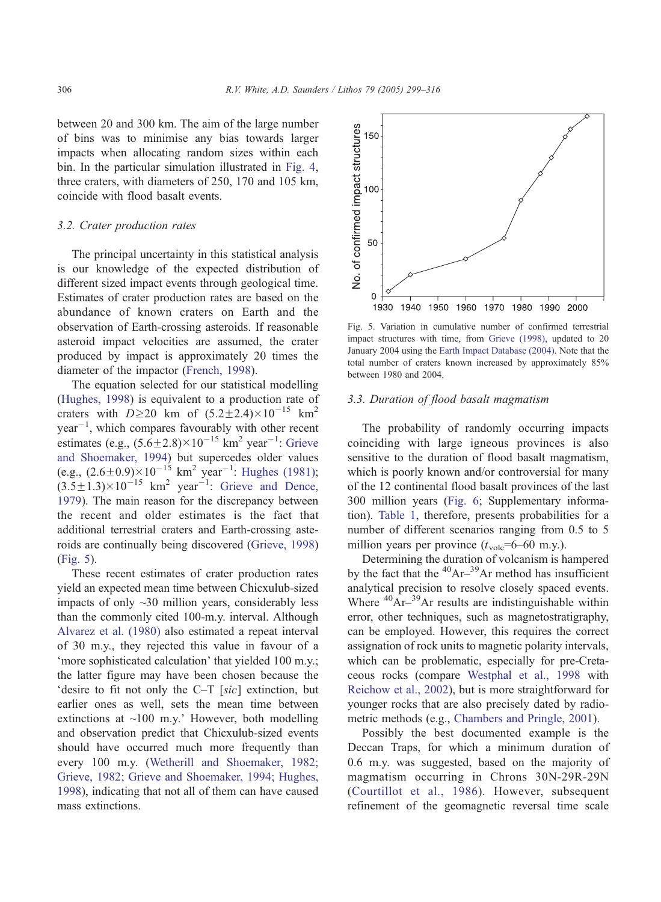between 20 and 300 km. The aim of the large number of bins was to minimise any bias towards larger impacts when allocating random sizes within each bin. In the particular simulation illustrated in [Fig. 4,](#page-6-0) three craters, with diameters of 250, 170 and 105 km, coincide with flood basalt events.

# 3.2. Crater production rates

The principal uncertainty in this statistical analysis is our knowledge of the expected distribution of different sized impact events through geological time. Estimates of crater production rates are based on the abundance of known craters on Earth and the observation of Earth-crossing asteroids. If reasonable asteroid impact velocities are assumed, the crater produced by impact is approximately 20 times the diameter of the impactor ([French, 1998\)](#page-15-0).

The equation selected for our statistical modelling ([Hughes, 1998\)](#page-15-0) is equivalent to a production rate of craters with  $D \ge 20$  km of  $(5.2 \pm 2.4) \times 10^{-15}$  km<sup>2</sup>  $year<sup>-1</sup>$ , which compares favourably with other recent estimates (e.g.,  $(5.6\pm2.8)\times10^{-15}$  km<sup>2</sup> year<sup>-1</sup>: [Grieve](#page-15-0) and Shoemaker, 1994) but supercedes older values (e.g.,  $(2.6\pm0.9)\times10^{-15}$  km<sup>2</sup> year<sup>-1</sup>: [Hughes \(1981\);](#page-15-0)  $(3.5\pm1.3)\times10^{-15}$  km<sup>2</sup> year<sup>-1</sup>: [Grieve and Dence,](#page-15-0) 1979). The main reason for the discrepancy between the recent and older estimates is the fact that additional terrestrial craters and Earth-crossing asteroids are continually being discovered ([Grieve, 1998\)](#page-15-0) (Fig. 5).

These recent estimates of crater production rates yield an expected mean time between Chicxulub-sized impacts of only ~30 million years, considerably less than the commonly cited 100-m.y. interval. Although [Alvarez et al. \(1980\)](#page-14-0) also estimated a repeat interval of 30 m.y., they rejected this value in favour of a 'more sophisticated calculation' that yielded 100 m.y.; the latter figure may have been chosen because the 'desire to fit not only the  $C-T$  [sic] extinction, but earlier ones as well, sets the mean time between extinctions at  $\sim$ 100 m.y.' However, both modelling and observation predict that Chicxulub-sized events should have occurred much more frequently than every 100 m.y. ([Wetherill and Shoemaker, 1982;](#page-17-0) Grieve, 1982; Grieve and Shoemaker, 1994; Hughes, 1998), indicating that not all of them can have caused mass extinctions.



Fig. 5. Variation in cumulative number of confirmed terrestrial impact structures with time, from [Grieve \(1998\),](#page-15-0) updated to 20 January 2004 using the [Earth Impact Database \(2004\).](#page-15-0) Note that the total number of craters known increased by approximately 85% between 1980 and 2004.

#### 3.3. Duration of flood basalt magmatism

The probability of randomly occurring impacts coinciding with large igneous provinces is also sensitive to the duration of flood basalt magmatism, which is poorly known and/or controversial for many of the 12 continental flood basalt provinces of the last 300 million years ([Fig. 6;](#page-8-0) Supplementary information). [Table 1,](#page-4-0) therefore, presents probabilities for a number of different scenarios ranging from 0.5 to 5 million years per province  $(t_{\text{volc}}=6-60 \text{ m.y.})$ .

Determining the duration of volcanism is hampered by the fact that the  ${}^{40}Ar-{}^{39}Ar$  method has insufficient analytical precision to resolve closely spaced events. Where  ${}^{40}Ar-{}^{39}Ar$  results are indistinguishable within error, other techniques, such as magnetostratigraphy, can be employed. However, this requires the correct assignation of rock units to magnetic polarity intervals, which can be problematic, especially for pre-Cretaceous rocks (compare [Westphal et al., 1998](#page-17-0) with [Reichow et al., 2002\)](#page-16-0), but is more straightforward for younger rocks that are also precisely dated by radiometric methods (e.g., [Chambers and Pringle, 2001\)](#page-14-0).

Possibly the best documented example is the Deccan Traps, for which a minimum duration of 0.6 m.y. was suggested, based on the majority of magmatism occurring in Chrons 30N-29R-29N ([Courtillot et al., 1986\)](#page-15-0). However, subsequent refinement of the geomagnetic reversal time scale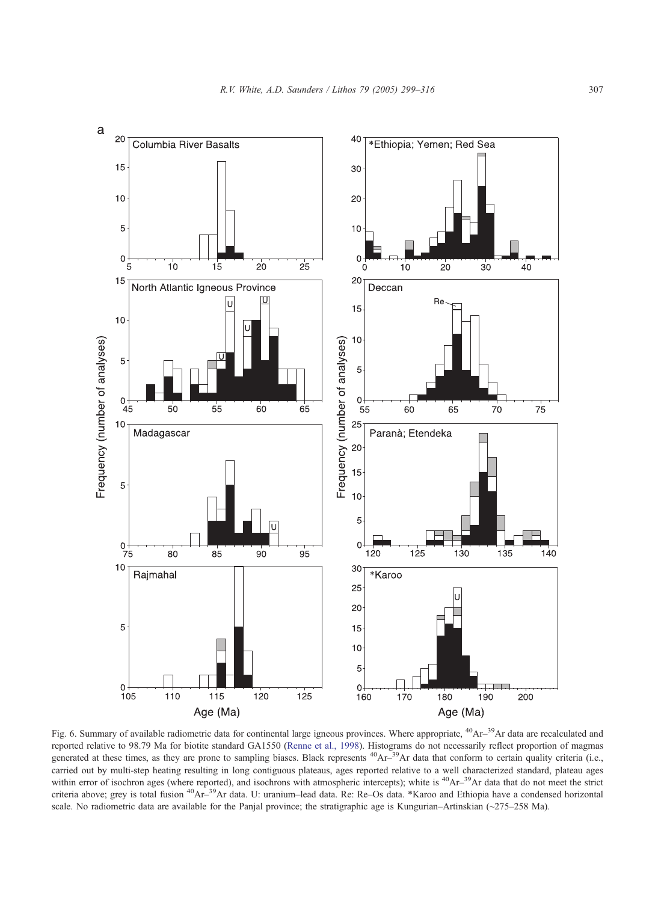<span id="page-8-0"></span>

Fig. 6. Summary of available radiometric data for continental large igneous provinces. Where appropriate, <sup>40</sup>Ar<sup>-39</sup>Ar data are recalculated and reported relative to 98.79 Ma for biotite standard GA1550 ([Renne et al., 1998\)](#page-16-0). Histograms do not necessarily reflect proportion of magmas generated at these times, as they are prone to sampling biases. Black represents <sup>40</sup>Ar<sup>-39</sup>Ar data that conform to certain quality criteria (i.e., carried out by multi-step heating resulting in long contiguous plateaus, ages reported relative to a well characterized standard, plateau ages within error of isochron ages (where reported), and isochrons with atmospheric intercepts); white is <sup>40</sup>Ar<sup>-39</sup>Ar data that do not meet the strict criteria above; grey is total fusion 40Ar–39Ar data. U: uranium–lead data. Re: Re–Os data. \*Karoo and Ethiopia have a condensed horizontal scale. No radiometric data are available for the Panjal province; the stratigraphic age is Kungurian–Artinskian (~275–258 Ma).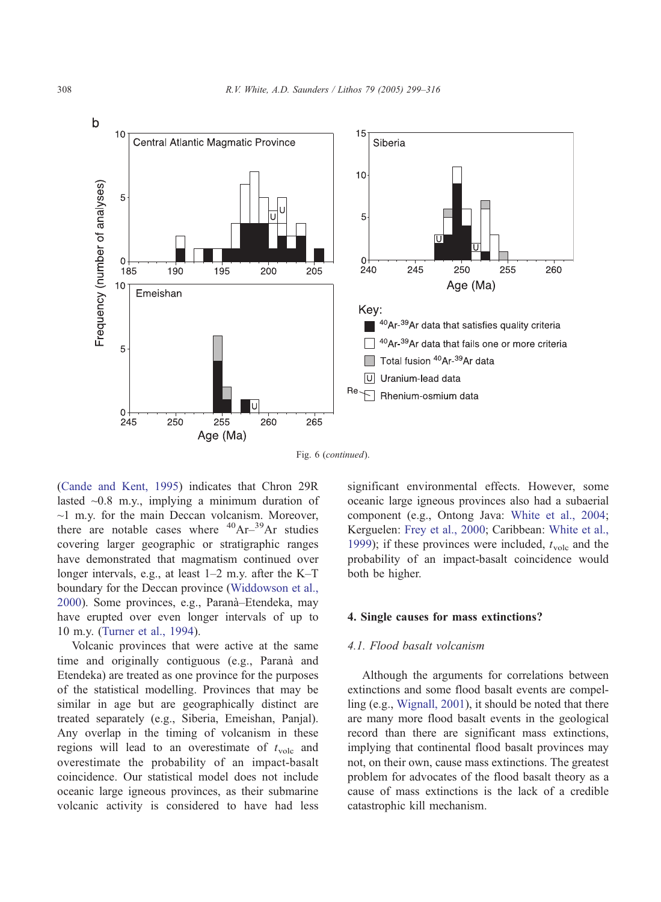

Fig. 6 (continued).

([Cande and Kent, 1995\)](#page-14-0) indicates that Chron 29R lasted  $\sim 0.8$  m.y., implying a minimum duration of  $\sim$ 1 m.y. for the main Deccan volcanism. Moreover, there are notable cases where  $^{40}Ar^{-39}Ar$  studies covering larger geographic or stratigraphic ranges have demonstrated that magmatism continued over longer intervals, e.g., at least 1–2 m.y. after the K–T boundary for the Deccan province ([Widdowson et al.,](#page-17-0) 2000). Some provinces, e.g., Parana`–Etendeka, may have erupted over even longer intervals of up to 10 m.y. [\(Turner et al., 1994\)](#page-17-0).

Volcanic provinces that were active at the same time and originally contiguous (e.g., Paranà and Etendeka) are treated as one province for the purposes of the statistical modelling. Provinces that may be similar in age but are geographically distinct are treated separately (e.g., Siberia, Emeishan, Panjal). Any overlap in the timing of volcanism in these regions will lead to an overestimate of  $t_{\text{volc}}$  and overestimate the probability of an impact-basalt coincidence. Our statistical model does not include oceanic large igneous provinces, as their submarine volcanic activity is considered to have had less significant environmental effects. However, some oceanic large igneous provinces also had a subaerial component (e.g., Ontong Java: [White et al., 2004;](#page-17-0) Kerguelen: [Frey et al., 2000;](#page-15-0) Caribbean: [White et al.,](#page-17-0) 1999); if these provinces were included,  $t_{\text{volc}}$  and the probability of an impact-basalt coincidence would both be higher.

## 4. Single causes for mass extinctions?

## 4.1. Flood basalt volcanism

Although the arguments for correlations between extinctions and some flood basalt events are compelling (e.g., [Wignall, 2001\)](#page-17-0), it should be noted that there are many more flood basalt events in the geological record than there are significant mass extinctions, implying that continental flood basalt provinces may not, on their own, cause mass extinctions. The greatest problem for advocates of the flood basalt theory as a cause of mass extinctions is the lack of a credible catastrophic kill mechanism.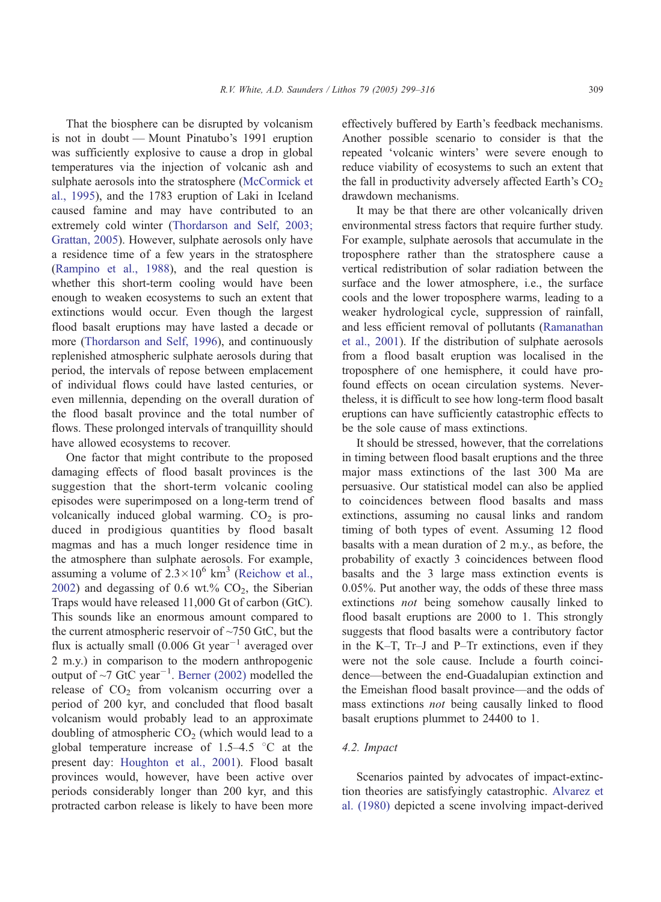That the biosphere can be disrupted by volcanism is not in doubt — Mount Pinatubo's 1991 eruption was sufficiently explosive to cause a drop in global temperatures via the injection of volcanic ash and sulphate aerosols into the stratosphere ([McCormick et](#page-16-0) al., 1995), and the 1783 eruption of Laki in Iceland caused famine and may have contributed to an extremely cold winter ([Thordarson and Self, 2003;](#page-17-0) Grattan, 2005). However, sulphate aerosols only have a residence time of a few years in the stratosphere ([Rampino et al., 1988\)](#page-16-0), and the real question is whether this short-term cooling would have been enough to weaken ecosystems to such an extent that extinctions would occur. Even though the largest flood basalt eruptions may have lasted a decade or more ([Thordarson and Self, 1996\)](#page-17-0), and continuously replenished atmospheric sulphate aerosols during that period, the intervals of repose between emplacement of individual flows could have lasted centuries, or even millennia, depending on the overall duration of the flood basalt province and the total number of flows. These prolonged intervals of tranquillity should have allowed ecosystems to recover.

One factor that might contribute to the proposed damaging effects of flood basalt provinces is the suggestion that the short-term volcanic cooling episodes were superimposed on a long-term trend of volcanically induced global warming.  $CO<sub>2</sub>$  is produced in prodigious quantities by flood basalt magmas and has a much longer residence time in the atmosphere than sulphate aerosols. For example, assuming a volume of  $2.3 \times 10^6$  km<sup>3</sup> ([Reichow et al.,](#page-16-0) 2002) and degassing of 0.6 wt.%  $CO<sub>2</sub>$ , the Siberian Traps would have released 11,000 Gt of carbon (GtC). This sounds like an enormous amount compared to the current atmospheric reservoir of  $\sim$ 750 GtC, but the flux is actually small (0.006 Gt year<sup>-1</sup> averaged over 2 m.y.) in comparison to the modern anthropogenic output of  $\sim$ 7 GtC year<sup>-1</sup>. [Berner \(2002\)](#page-14-0) modelled the release of  $CO<sub>2</sub>$  from volcanism occurring over a period of 200 kyr, and concluded that flood basalt volcanism would probably lead to an approximate doubling of atmospheric  $CO<sub>2</sub>$  (which would lead to a global temperature increase of  $1.5-4.5$  °C at the present day: [Houghton et al., 2001\)](#page-15-0). Flood basalt provinces would, however, have been active over periods considerably longer than 200 kyr, and this protracted carbon release is likely to have been more effectively buffered by Earth's feedback mechanisms. Another possible scenario to consider is that the repeated 'volcanic winters' were severe enough to reduce viability of ecosystems to such an extent that the fall in productivity adversely affected Earth's  $CO<sub>2</sub>$ drawdown mechanisms.

It may be that there are other volcanically driven environmental stress factors that require further study. For example, sulphate aerosols that accumulate in the troposphere rather than the stratosphere cause a vertical redistribution of solar radiation between the surface and the lower atmosphere, i.e., the surface cools and the lower troposphere warms, leading to a weaker hydrological cycle, suppression of rainfall, and less efficient removal of pollutants ([Ramanathan](#page-16-0) et al., 2001). If the distribution of sulphate aerosols from a flood basalt eruption was localised in the troposphere of one hemisphere, it could have profound effects on ocean circulation systems. Nevertheless, it is difficult to see how long-term flood basalt eruptions can have sufficiently catastrophic effects to be the sole cause of mass extinctions.

It should be stressed, however, that the correlations in timing between flood basalt eruptions and the three major mass extinctions of the last 300 Ma are persuasive. Our statistical model can also be applied to coincidences between flood basalts and mass extinctions, assuming no causal links and random timing of both types of event. Assuming 12 flood basalts with a mean duration of 2 m.y., as before, the probability of exactly 3 coincidences between flood basalts and the 3 large mass extinction events is 0.05%. Put another way, the odds of these three mass extinctions not being somehow causally linked to flood basalt eruptions are 2000 to 1. This strongly suggests that flood basalts were a contributory factor in the K–T, Tr–J and P–Tr extinctions, even if they were not the sole cause. Include a fourth coincidence—between the end-Guadalupian extinction and the Emeishan flood basalt province—and the odds of mass extinctions not being causally linked to flood basalt eruptions plummet to 24400 to 1.

# 4.2. Impact

Scenarios painted by advocates of impact-extinction theories are satisfyingly catastrophic. [Alvarez et](#page-14-0) al. (1980) depicted a scene involving impact-derived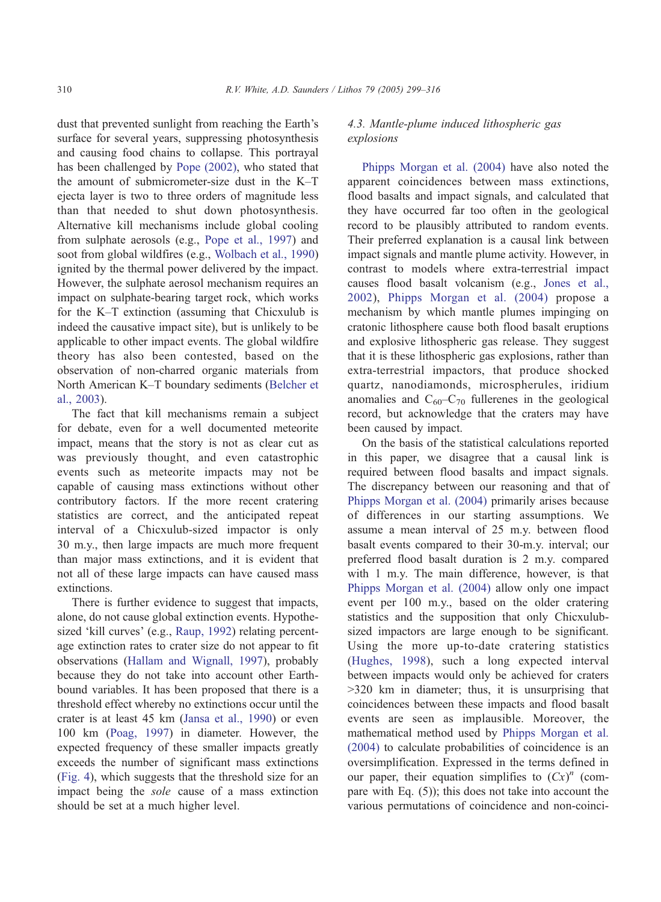dust that prevented sunlight from reaching the Earth's surface for several years, suppressing photosynthesis and causing food chains to collapse. This portrayal has been challenged by [Pope \(2002\),](#page-16-0) who stated that the amount of submicrometer-size dust in the K–T ejecta layer is two to three orders of magnitude less than that needed to shut down photosynthesis. Alternative kill mechanisms include global cooling from sulphate aerosols (e.g., [Pope et al., 1997\)](#page-16-0) and soot from global wildfires (e.g., [Wolbach et al., 1990\)](#page-17-0) ignited by the thermal power delivered by the impact. However, the sulphate aerosol mechanism requires an impact on sulphate-bearing target rock, which works for the K–T extinction (assuming that Chicxulub is indeed the causative impact site), but is unlikely to be applicable to other impact events. The global wildfire theory has also been contested, based on the observation of non-charred organic materials from North American K–T boundary sediments ([Belcher et](#page-14-0) al., 2003).

The fact that kill mechanisms remain a subject for debate, even for a well documented meteorite impact, means that the story is not as clear cut as was previously thought, and even catastrophic events such as meteorite impacts may not be capable of causing mass extinctions without other contributory factors. If the more recent cratering statistics are correct, and the anticipated repeat interval of a Chicxulub-sized impactor is only 30 m.y., then large impacts are much more frequent than major mass extinctions, and it is evident that not all of these large impacts can have caused mass extinctions.

There is further evidence to suggest that impacts, alone, do not cause global extinction events. Hypothe-sized 'kill curves' (e.g., [Raup, 1992\)](#page-16-0) relating percentage extinction rates to crater size do not appear to fit observations ([Hallam and Wignall, 1997\)](#page-15-0), probably because they do not take into account other Earthbound variables. It has been proposed that there is a threshold effect whereby no extinctions occur until the crater is at least 45 km ([Jansa et al., 1990\)](#page-15-0) or even 100 km ([Poag, 1997\)](#page-16-0) in diameter. However, the expected frequency of these smaller impacts greatly exceeds the number of significant mass extinctions ([Fig. 4](#page-6-0)), which suggests that the threshold size for an impact being the sole cause of a mass extinction should be set at a much higher level.

# 4.3. Mantle-plume induced lithospheric gas explosions

[Phipps Morgan et al. \(2004\)](#page-16-0) have also noted the apparent coincidences between mass extinctions, flood basalts and impact signals, and calculated that they have occurred far too often in the geological record to be plausibly attributed to random events. Their preferred explanation is a causal link between impact signals and mantle plume activity. However, in contrast to models where extra-terrestrial impact causes flood basalt volcanism (e.g., [Jones et al.,](#page-15-0) 2002), [Phipps Morgan et al. \(2004\)](#page-16-0) propose a mechanism by which mantle plumes impinging on cratonic lithosphere cause both flood basalt eruptions and explosive lithospheric gas release. They suggest that it is these lithospheric gas explosions, rather than extra-terrestrial impactors, that produce shocked quartz, nanodiamonds, microspherules, iridium anomalies and  $C_{60}-C_{70}$  fullerenes in the geological record, but acknowledge that the craters may have been caused by impact.

On the basis of the statistical calculations reported in this paper, we disagree that a causal link is required between flood basalts and impact signals. The discrepancy between our reasoning and that of [Phipps Morgan et al. \(2004\)](#page-16-0) primarily arises because of differences in our starting assumptions. We assume a mean interval of 25 m.y. between flood basalt events compared to their 30-m.y. interval; our preferred flood basalt duration is 2 m.y. compared with 1 m.y. The main difference, however, is that [Phipps Morgan et al. \(2004\)](#page-16-0) allow only one impact event per 100 m.y., based on the older cratering statistics and the supposition that only Chicxulubsized impactors are large enough to be significant. Using the more up-to-date cratering statistics ([Hughes, 1998\)](#page-15-0), such a long expected interval between impacts would only be achieved for craters  $>320$  km in diameter; thus, it is unsurprising that coincidences between these impacts and flood basalt events are seen as implausible. Moreover, the mathematical method used by [Phipps Morgan et al.](#page-16-0) (2004) to calculate probabilities of coincidence is an oversimplification. Expressed in the terms defined in our paper, their equation simplifies to  $(Cx)^n$  (compare with Eq. (5)); this does not take into account the various permutations of coincidence and non-coinci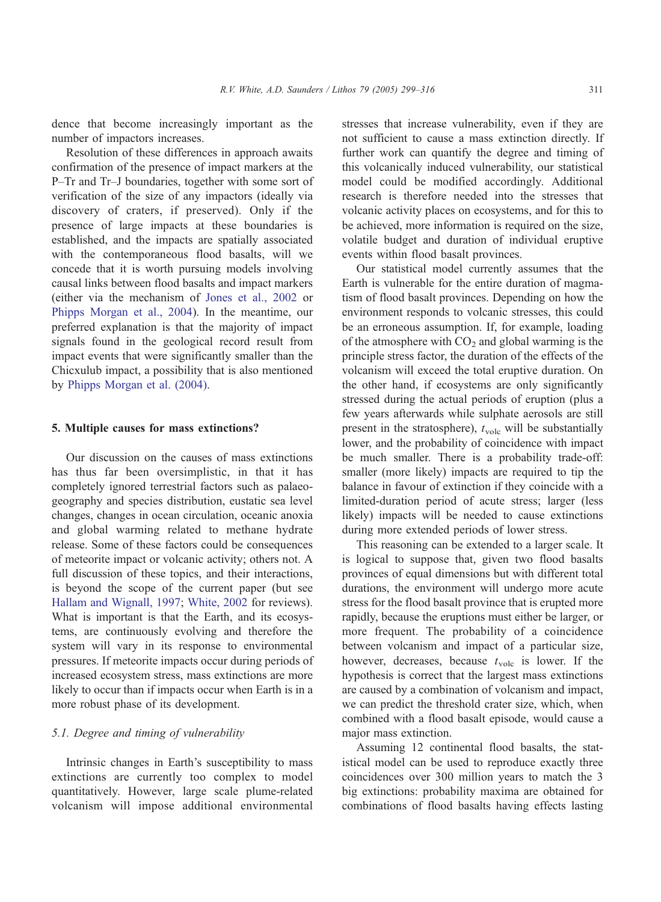dence that become increasingly important as the number of impactors increases.

Resolution of these differences in approach awaits confirmation of the presence of impact markers at the P–Tr and Tr–J boundaries, together with some sort of verification of the size of any impactors (ideally via discovery of craters, if preserved). Only if the presence of large impacts at these boundaries is established, and the impacts are spatially associated with the contemporaneous flood basalts, will we concede that it is worth pursuing models involving causal links between flood basalts and impact markers (either via the mechanism of [Jones et al., 2002](#page-15-0) or [Phipps Morgan et al., 2004\)](#page-16-0). In the meantime, our preferred explanation is that the majority of impact signals found in the geological record result from impact events that were significantly smaller than the Chicxulub impact, a possibility that is also mentioned by [Phipps Morgan et al. \(2004\).](#page-16-0)

## 5. Multiple causes for mass extinctions?

Our discussion on the causes of mass extinctions has thus far been oversimplistic, in that it has completely ignored terrestrial factors such as palaeogeography and species distribution, eustatic sea level changes, changes in ocean circulation, oceanic anoxia and global warming related to methane hydrate release. Some of these factors could be consequences of meteorite impact or volcanic activity; others not. A full discussion of these topics, and their interactions, is beyond the scope of the current paper (but see [Hallam and Wignall, 1997;](#page-15-0) [White, 2002](#page-17-0) for reviews). What is important is that the Earth, and its ecosystems, are continuously evolving and therefore the system will vary in its response to environmental pressures. If meteorite impacts occur during periods of increased ecosystem stress, mass extinctions are more likely to occur than if impacts occur when Earth is in a more robust phase of its development.

#### 5.1. Degree and timing of vulnerability

Intrinsic changes in Earth's susceptibility to mass extinctions are currently too complex to model quantitatively. However, large scale plume-related volcanism will impose additional environmental

stresses that increase vulnerability, even if they are not sufficient to cause a mass extinction directly. If further work can quantify the degree and timing of this volcanically induced vulnerability, our statistical model could be modified accordingly. Additional research is therefore needed into the stresses that volcanic activity places on ecosystems, and for this to be achieved, more information is required on the size, volatile budget and duration of individual eruptive events within flood basalt provinces.

Our statistical model currently assumes that the Earth is vulnerable for the entire duration of magmatism of flood basalt provinces. Depending on how the environment responds to volcanic stresses, this could be an erroneous assumption. If, for example, loading of the atmosphere with  $CO<sub>2</sub>$  and global warming is the principle stress factor, the duration of the effects of the volcanism will exceed the total eruptive duration. On the other hand, if ecosystems are only significantly stressed during the actual periods of eruption (plus a few years afterwards while sulphate aerosols are still present in the stratosphere),  $t_{\text{volc}}$  will be substantially lower, and the probability of coincidence with impact be much smaller. There is a probability trade-off: smaller (more likely) impacts are required to tip the balance in favour of extinction if they coincide with a limited-duration period of acute stress; larger (less likely) impacts will be needed to cause extinctions during more extended periods of lower stress.

This reasoning can be extended to a larger scale. It is logical to suppose that, given two flood basalts provinces of equal dimensions but with different total durations, the environment will undergo more acute stress for the flood basalt province that is erupted more rapidly, because the eruptions must either be larger, or more frequent. The probability of a coincidence between volcanism and impact of a particular size, however, decreases, because  $t_{\text{volc}}$  is lower. If the hypothesis is correct that the largest mass extinctions are caused by a combination of volcanism and impact, we can predict the threshold crater size, which, when combined with a flood basalt episode, would cause a major mass extinction.

Assuming 12 continental flood basalts, the statistical model can be used to reproduce exactly three coincidences over 300 million years to match the 3 big extinctions: probability maxima are obtained for combinations of flood basalts having effects lasting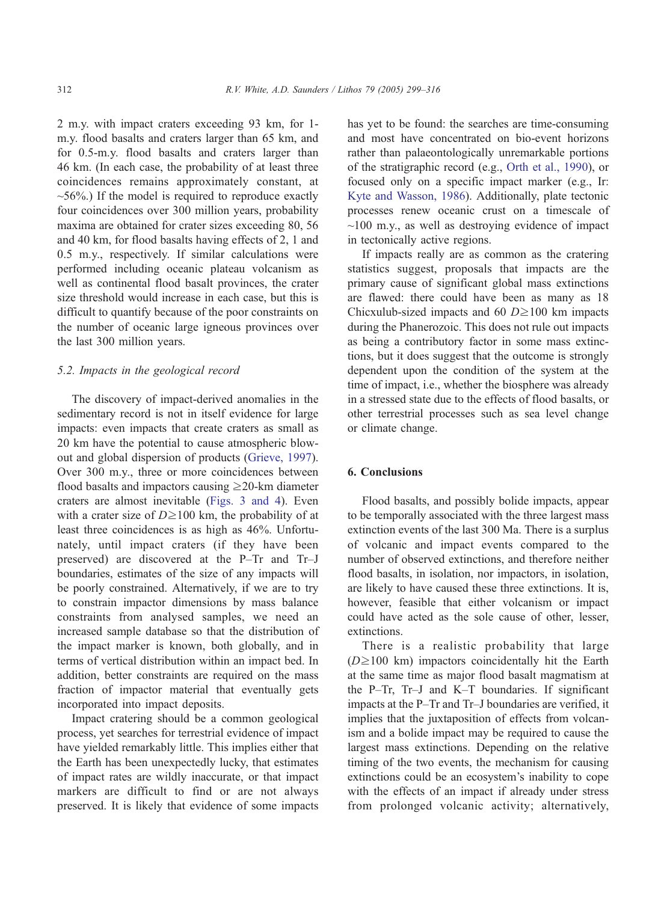2 m.y. with impact craters exceeding 93 km, for 1 m.y. flood basalts and craters larger than 65 km, and for 0.5-m.y. flood basalts and craters larger than 46 km. (In each case, the probability of at least three coincidences remains approximately constant, at  $~56\%$ .) If the model is required to reproduce exactly four coincidences over 300 million years, probability maxima are obtained for crater sizes exceeding 80, 56 and 40 km, for flood basalts having effects of 2, 1 and 0.5 m.y., respectively. If similar calculations were performed including oceanic plateau volcanism as well as continental flood basalt provinces, the crater size threshold would increase in each case, but this is difficult to quantify because of the poor constraints on the number of oceanic large igneous provinces over the last 300 million years.

## 5.2. Impacts in the geological record

The discovery of impact-derived anomalies in the sedimentary record is not in itself evidence for large impacts: even impacts that create craters as small as 20 km have the potential to cause atmospheric blowout and global dispersion of products ([Grieve, 1997\)](#page-15-0). Over 300 m.y., three or more coincidences between flood basalts and impactors causing  $\geq$ 20-km diameter craters are almost inevitable ([Figs. 3 and 4\)](#page-5-0). Even with a crater size of  $D \ge 100$  km, the probability of at least three coincidences is as high as 46%. Unfortunately, until impact craters (if they have been preserved) are discovered at the P–Tr and Tr–J boundaries, estimates of the size of any impacts will be poorly constrained. Alternatively, if we are to try to constrain impactor dimensions by mass balance constraints from analysed samples, we need an increased sample database so that the distribution of the impact marker is known, both globally, and in terms of vertical distribution within an impact bed. In addition, better constraints are required on the mass fraction of impactor material that eventually gets incorporated into impact deposits.

Impact cratering should be a common geological process, yet searches for terrestrial evidence of impact have yielded remarkably little. This implies either that the Earth has been unexpectedly lucky, that estimates of impact rates are wildly inaccurate, or that impact markers are difficult to find or are not always preserved. It is likely that evidence of some impacts has yet to be found: the searches are time-consuming and most have concentrated on bio-event horizons rather than palaeontologically unremarkable portions of the stratigraphic record (e.g., [Orth et al., 1990\)](#page-16-0), or focused only on a specific impact marker (e.g., Ir: [Kyte and Wasson, 1986\)](#page-16-0). Additionally, plate tectonic processes renew oceanic crust on a timescale of  $\sim$ 100 m.y., as well as destroying evidence of impact in tectonically active regions.

If impacts really are as common as the cratering statistics suggest, proposals that impacts are the primary cause of significant global mass extinctions are flawed: there could have been as many as 18 Chicxulub-sized impacts and 60  $D \ge 100$  km impacts during the Phanerozoic. This does not rule out impacts as being a contributory factor in some mass extinctions, but it does suggest that the outcome is strongly dependent upon the condition of the system at the time of impact, i.e., whether the biosphere was already in a stressed state due to the effects of flood basalts, or other terrestrial processes such as sea level change or climate change.

## 6. Conclusions

Flood basalts, and possibly bolide impacts, appear to be temporally associated with the three largest mass extinction events of the last 300 Ma. There is a surplus of volcanic and impact events compared to the number of observed extinctions, and therefore neither flood basalts, in isolation, nor impactors, in isolation, are likely to have caused these three extinctions. It is, however, feasible that either volcanism or impact could have acted as the sole cause of other, lesser, extinctions.

There is a realistic probability that large  $(D \ge 100 \text{ km})$  impactors coincidentally hit the Earth at the same time as major flood basalt magmatism at the P–Tr, Tr–J and K–T boundaries. If significant impacts at the P–Tr and Tr–J boundaries are verified, it implies that the juxtaposition of effects from volcanism and a bolide impact may be required to cause the largest mass extinctions. Depending on the relative timing of the two events, the mechanism for causing extinctions could be an ecosystem's inability to cope with the effects of an impact if already under stress from prolonged volcanic activity; alternatively,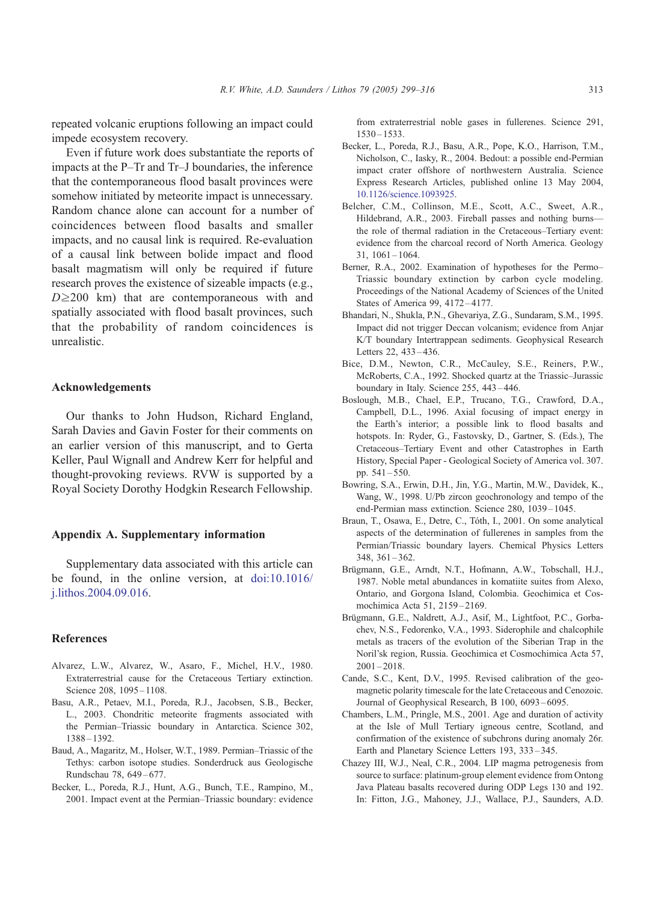<span id="page-14-0"></span>repeated volcanic eruptions following an impact could impede ecosystem recovery.

Even if future work does substantiate the reports of impacts at the P–Tr and Tr–J boundaries, the inference that the contemporaneous flood basalt provinces were somehow initiated by meteorite impact is unnecessary. Random chance alone can account for a number of coincidences between flood basalts and smaller impacts, and no causal link is required. Re-evaluation of a causal link between bolide impact and flood basalt magmatism will only be required if future research proves the existence of sizeable impacts (e.g.,  $D\geq200$  km) that are contemporaneous with and spatially associated with flood basalt provinces, such that the probability of random coincidences is unrealistic.

#### Acknowledgements

Our thanks to John Hudson, Richard England, Sarah Davies and Gavin Foster for their comments on an earlier version of this manuscript, and to Gerta Keller, Paul Wignall and Andrew Kerr for helpful and thought-provoking reviews. RVW is supported by a Royal Society Dorothy Hodgkin Research Fellowship.

#### Appendix A. Supplementary information

Supplementary data associated with this article can be found, in the online version, at [doi:10.1016/](http://dx.doi.org/doi:10.1016/j.lithos.2004.09.016) j.lithos.2004.09.016.

#### References

- Alvarez, L.W., Alvarez, W., Asaro, F., Michel, H.V., 1980. Extraterrestrial cause for the Cretaceous Tertiary extinction. Science 208, 1095-1108.
- Basu, A.R., Petaev, M.I., Poreda, R.J., Jacobsen, S.B., Becker, L., 2003. Chondritic meteorite fragments associated with the Permian–Triassic boundary in Antarctica. Science 302, 1388 – 1392.
- Baud, A., Magaritz, M., Holser, W.T., 1989. Permian–Triassic of the Tethys: carbon isotope studies. Sonderdruck aus Geologische Rundschau 78, 649 – 677.
- Becker, L., Poreda, R.J., Hunt, A.G., Bunch, T.E., Rampino, M., 2001. Impact event at the Permian–Triassic boundary: evidence

from extraterrestrial noble gases in fullerenes. Science 291, 1530 – 1533.

- Becker, L., Poreda, R.J., Basu, A.R., Pope, K.O., Harrison, T.M., Nicholson, C., Iasky, R., 2004. Bedout: a possible end-Permian impact crater offshore of northwestern Australia. Science Express Research Articles, published online 13 May 2004, [10.1126/science.1093925.](http://dx.doi.org/doi:10.1126/science.1093925)
- Belcher, C.M., Collinson, M.E., Scott, A.C., Sweet, A.R., Hildebrand, A.R., 2003. Fireball passes and nothing burns the role of thermal radiation in the Cretaceous–Tertiary event: evidence from the charcoal record of North America. Geology  $31, 1061 - 1064.$
- Berner, R.A., 2002. Examination of hypotheses for the Permo– Triassic boundary extinction by carbon cycle modeling. Proceedings of the National Academy of Sciences of the United States of America 99, 4172-4177.
- Bhandari, N., Shukla, P.N., Ghevariya, Z.G., Sundaram, S.M., 1995. Impact did not trigger Deccan volcanism; evidence from Anjar K/T boundary Intertrappean sediments. Geophysical Research Letters 22, 433-436.
- Bice, D.M., Newton, C.R., McCauley, S.E., Reiners, P.W., McRoberts, C.A., 1992. Shocked quartz at the Triassic–Jurassic boundary in Italy. Science 255, 443 – 446.
- Boslough, M.B., Chael, E.P., Trucano, T.G., Crawford, D.A., Campbell, D.L., 1996. Axial focusing of impact energy in the Earth's interior; a possible link to flood basalts and hotspots. In: Ryder, G., Fastovsky, D., Gartner, S. (Eds.), The Cretaceous–Tertiary Event and other Catastrophes in Earth History, Special Paper - Geological Society of America vol. 307. pp. 541 – 550.
- Bowring, S.A., Erwin, D.H., Jin, Y.G., Martin, M.W., Davidek, K., Wang, W., 1998. U/Pb zircon geochronology and tempo of the end-Permian mass extinction. Science 280, 1039-1045.
- Braun, T., Osawa, E., Detre, C., Tóth, I., 2001. On some analytical aspects of the determination of fullerenes in samples from the Permian/Triassic boundary layers. Chemical Physics Letters 348, 361 – 362.
- Brügmann, G.E., Arndt, N.T., Hofmann, A.W., Tobschall, H.J., 1987. Noble metal abundances in komatiite suites from Alexo, Ontario, and Gorgona Island, Colombia. Geochimica et Cosmochimica Acta 51, 2159 – 2169.
- Brügmann, G.E., Naldrett, A.J., Asif, M., Lightfoot, P.C., Gorbachev, N.S., Fedorenko, V.A., 1993. Siderophile and chalcophile metals as tracers of the evolution of the Siberian Trap in the Noril'sk region, Russia. Geochimica et Cosmochimica Acta 57,  $2001 - 2018$ .
- Cande, S.C., Kent, D.V., 1995. Revised calibration of the geomagnetic polarity timescale for the late Cretaceous and Cenozoic. Journal of Geophysical Research, B 100, 6093-6095.
- Chambers, L.M., Pringle, M.S., 2001. Age and duration of activity at the Isle of Mull Tertiary igneous centre, Scotland, and confirmation of the existence of subchrons during anomaly 26r. Earth and Planetary Science Letters 193, 333 – 345.
- Chazey III, W.J., Neal, C.R., 2004. LIP magma petrogenesis from source to surface: platinum-group element evidence from Ontong Java Plateau basalts recovered during ODP Legs 130 and 192. In: Fitton, J.G., Mahoney, J.J., Wallace, P.J., Saunders, A.D.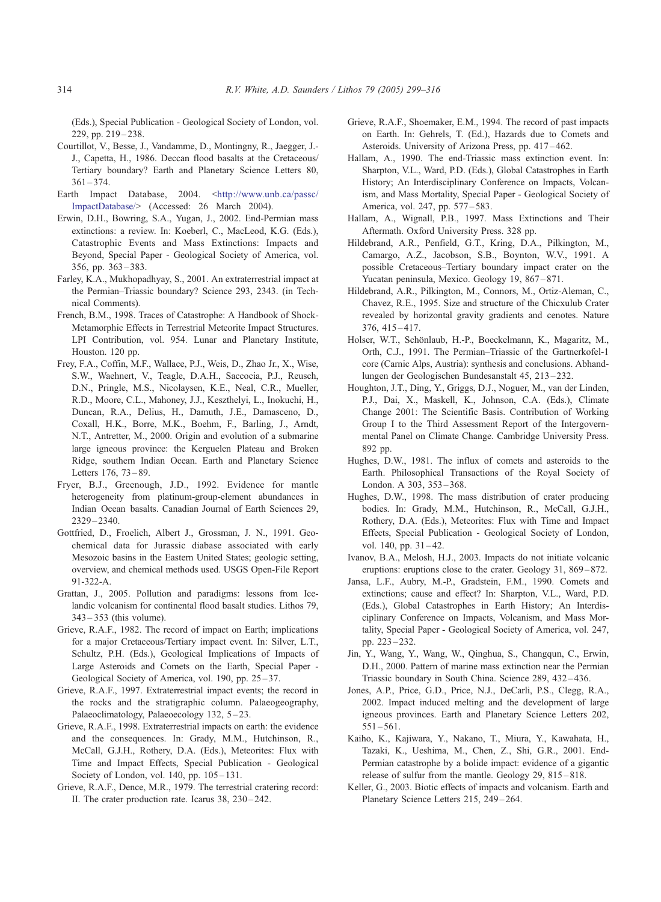<span id="page-15-0"></span>(Eds.), Special Publication - Geological Society of London, vol. 229, pp. 219 – 238.

- Courtillot, V., Besse, J., Vandamme, D., Montingny, R., Jaegger, J.- J., Capetta, H., 1986. Deccan flood basalts at the Cretaceous/ Tertiary boundary? Earth and Planetary Science Letters 80,  $361 - 374.$
- Earth Impact Database, 2004. <[http://www.unb.ca/passc/](http://www.unb.ca/passc/ImpactDatabase/) ImpactDatabase/> (Accessed: 26 March 2004).
- Erwin, D.H., Bowring, S.A., Yugan, J., 2002. End-Permian mass extinctions: a review. In: Koeberl, C., MacLeod, K.G. (Eds.), Catastrophic Events and Mass Extinctions: Impacts and Beyond, Special Paper - Geological Society of America, vol.  $356$ , pp.  $363 - 383$ .
- Farley, K.A., Mukhopadhyay, S., 2001. An extraterrestrial impact at the Permian–Triassic boundary? Science 293, 2343. (in Technical Comments).
- French, B.M., 1998. Traces of Catastrophe: A Handbook of Shock-Metamorphic Effects in Terrestrial Meteorite Impact Structures. LPI Contribution, vol. 954. Lunar and Planetary Institute, Houston. 120 pp.
- Frey, F.A., Coffin, M.F., Wallace, P.J., Weis, D., Zhao Jr., X., Wise, S.W., Waehnert, V., Teagle, D.A.H., Saccocia, P.J., Reusch, D.N., Pringle, M.S., Nicolaysen, K.E., Neal, C.R., Mueller, R.D., Moore, C.L., Mahoney, J.J., Keszthelyi, L., Inokuchi, H., Duncan, R.A., Delius, H., Damuth, J.E., Damasceno, D., Coxall, H.K., Borre, M.K., Boehm, F., Barling, J., Arndt, N.T., Antretter, M., 2000. Origin and evolution of a submarine large igneous province: the Kerguelen Plateau and Broken Ridge, southern Indian Ocean. Earth and Planetary Science Letters 176, 73-89.
- Fryer, B.J., Greenough, J.D., 1992. Evidence for mantle heterogeneity from platinum-group-element abundances in Indian Ocean basalts. Canadian Journal of Earth Sciences 29, 2329 – 2340.
- Gottfried, D., Froelich, Albert J., Grossman, J. N., 1991. Geochemical data for Jurassic diabase associated with early Mesozoic basins in the Eastern United States; geologic setting, overview, and chemical methods used. USGS Open-File Report 91-322-A.
- Grattan, J., 2005. Pollution and paradigms: lessons from Icelandic volcanism for continental flood basalt studies. Lithos 79, 343 – 353 (this volume).
- Grieve, R.A.F., 1982. The record of impact on Earth; implications for a major Cretaceous/Tertiary impact event. In: Silver, L.T., Schultz, P.H. (Eds.), Geological Implications of Impacts of Large Asteroids and Comets on the Earth, Special Paper - Geological Society of America, vol. 190, pp. 25–37.
- Grieve, R.A.F., 1997. Extraterrestrial impact events; the record in the rocks and the stratigraphic column. Palaeogeography, Palaeoclimatology, Palaeoecology 132, 5-23.
- Grieve, R.A.F., 1998. Extraterrestrial impacts on earth: the evidence and the consequences. In: Grady, M.M., Hutchinson, R., McCall, G.J.H., Rothery, D.A. (Eds.), Meteorites: Flux with Time and Impact Effects, Special Publication - Geological Society of London, vol. 140, pp. 105-131.
- Grieve, R.A.F., Dence, M.R., 1979. The terrestrial cratering record: II. The crater production rate. Icarus 38, 230 – 242.
- Grieve, R.A.F., Shoemaker, E.M., 1994. The record of past impacts on Earth. In: Gehrels, T. (Ed.), Hazards due to Comets and Asteroids. University of Arizona Press, pp. 417 – 462.
- Hallam, A., 1990. The end-Triassic mass extinction event. In: Sharpton, V.L., Ward, P.D. (Eds.), Global Catastrophes in Earth History; An Interdisciplinary Conference on Impacts, Volcanism, and Mass Mortality, Special Paper - Geological Society of America, vol. 247, pp. 577-583.
- Hallam, A., Wignall, P.B., 1997. Mass Extinctions and Their Aftermath. Oxford University Press. 328 pp.
- Hildebrand, A.R., Penfield, G.T., Kring, D.A., Pilkington, M., Camargo, A.Z., Jacobson, S.B., Boynton, W.V., 1991. A possible Cretaceous–Tertiary boundary impact crater on the Yucatan peninsula, Mexico. Geology 19, 867-871.
- Hildebrand, A.R., Pilkington, M., Connors, M., Ortiz-Aleman, C., Chavez, R.E., 1995. Size and structure of the Chicxulub Crater revealed by horizontal gravity gradients and cenotes. Nature 376, 415 – 417.
- Holser, W.T., Schönlaub, H.-P., Boeckelmann, K., Magaritz, M., Orth, C.J., 1991. The Permian–Triassic of the Gartnerkofel-1 core (Carnic Alps, Austria): synthesis and conclusions. Abhandlungen der Geologischen Bundesanstalt 45, 213 – 232.
- Houghton, J.T., Ding, Y., Griggs, D.J., Noguer, M., van der Linden, P.J., Dai, X., Maskell, K., Johnson, C.A. (Eds.), Climate Change 2001: The Scientific Basis. Contribution of Working Group I to the Third Assessment Report of the Intergovernmental Panel on Climate Change. Cambridge University Press. 892 pp.
- Hughes, D.W., 1981. The influx of comets and asteroids to the Earth. Philosophical Transactions of the Royal Society of London. A 303, 353 – 368.
- Hughes, D.W., 1998. The mass distribution of crater producing bodies. In: Grady, M.M., Hutchinson, R., McCall, G.J.H., Rothery, D.A. (Eds.), Meteorites: Flux with Time and Impact Effects, Special Publication - Geological Society of London, vol. 140, pp. 31-42.
- Ivanov, B.A., Melosh, H.J., 2003. Impacts do not initiate volcanic eruptions: eruptions close to the crater. Geology 31, 869–872.
- Jansa, L.F., Aubry, M.-P., Gradstein, F.M., 1990. Comets and extinctions; cause and effect? In: Sharpton, V.L., Ward, P.D. (Eds.), Global Catastrophes in Earth History; An Interdisciplinary Conference on Impacts, Volcanism, and Mass Mortality, Special Paper - Geological Society of America, vol. 247, pp. 223 – 232.
- Jin, Y., Wang, Y., Wang, W., Qinghua, S., Changqun, C., Erwin, D.H., 2000. Pattern of marine mass extinction near the Permian Triassic boundary in South China. Science 289, 432 – 436.
- Jones, A.P., Price, G.D., Price, N.J., DeCarli, P.S., Clegg, R.A., 2002. Impact induced melting and the development of large igneous provinces. Earth and Planetary Science Letters 202,  $551 - 561.$
- Kaiho, K., Kajiwara, Y., Nakano, T., Miura, Y., Kawahata, H., Tazaki, K., Ueshima, M., Chen, Z., Shi, G.R., 2001. End-Permian catastrophe by a bolide impact: evidence of a gigantic release of sulfur from the mantle. Geology 29, 815 – 818.
- Keller, G., 2003. Biotic effects of impacts and volcanism. Earth and Planetary Science Letters 215, 249-264.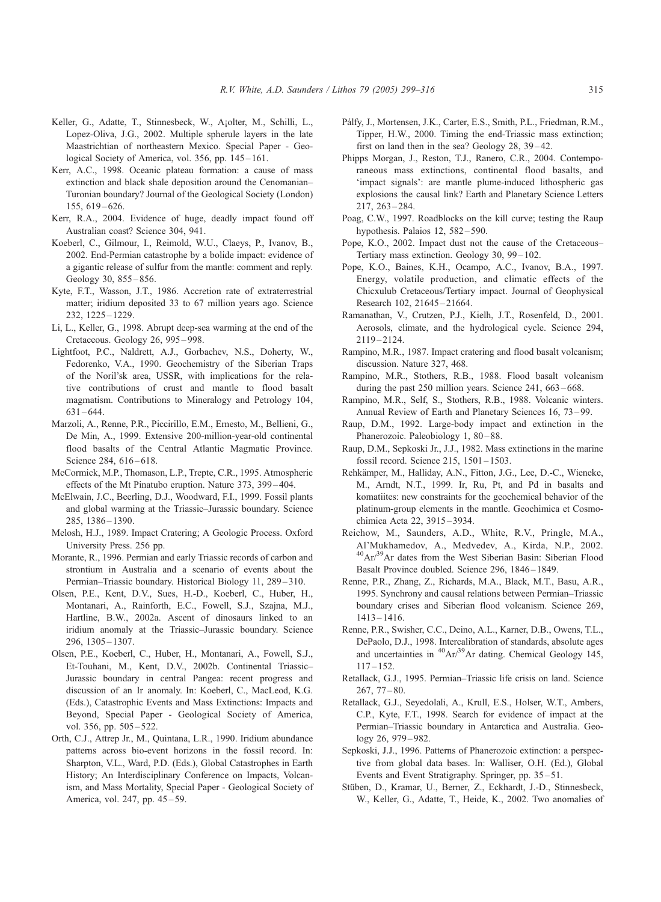- <span id="page-16-0"></span>Keller, G., Adatte, T., Stinnesbeck, W., Ajolter, M., Schilli, L., Lopez-Oliva, J.G., 2002. Multiple spherule layers in the late Maastrichtian of northeastern Mexico. Special Paper - Geological Society of America, vol. 356, pp. 145–161.
- Kerr, A.C., 1998. Oceanic plateau formation: a cause of mass extinction and black shale deposition around the Cenomanian– Turonian boundary? Journal of the Geological Society (London) 155, 619 – 626.
- Kerr, R.A., 2004. Evidence of huge, deadly impact found off Australian coast? Science 304, 941.
- Koeberl, C., Gilmour, I., Reimold, W.U., Claeys, P., Ivanov, B., 2002. End-Permian catastrophe by a bolide impact: evidence of a gigantic release of sulfur from the mantle: comment and reply. Geology 30, 855-856.
- Kyte, F.T., Wasson, J.T., 1986. Accretion rate of extraterrestrial matter; iridium deposited 33 to 67 million years ago. Science 232, 1225 – 1229.
- Li, L., Keller, G., 1998. Abrupt deep-sea warming at the end of the Cretaceous. Geology 26, 995 – 998.
- Lightfoot, P.C., Naldrett, A.J., Gorbachev, N.S., Doherty, W., Fedorenko, V.A., 1990. Geochemistry of the Siberian Traps of the Noril'sk area, USSR, with implications for the relative contributions of crust and mantle to flood basalt magmatism. Contributions to Mineralogy and Petrology 104, 631 – 644.
- Marzoli, A., Renne, P.R., Piccirillo, E.M., Ernesto, M., Bellieni, G., De Min, A., 1999. Extensive 200-million-year-old continental flood basalts of the Central Atlantic Magmatic Province. Science 284, 616-618.
- McCormick, M.P., Thomason, L.P., Trepte, C.R., 1995. Atmospheric effects of the Mt Pinatubo eruption. Nature 373, 399 – 404.
- McElwain, J.C., Beerling, D.J., Woodward, F.I., 1999. Fossil plants and global warming at the Triassic–Jurassic boundary. Science 285, 1386 – 1390.
- Melosh, H.J., 1989. Impact Cratering; A Geologic Process. Oxford University Press. 256 pp.
- Morante, R., 1996. Permian and early Triassic records of carbon and strontium in Australia and a scenario of events about the Permian–Triassic boundary. Historical Biology 11, 289 – 310.
- Olsen, P.E., Kent, D.V., Sues, H.-D., Koeberl, C., Huber, H., Montanari, A., Rainforth, E.C., Fowell, S.J., Szajna, M.J., Hartline, B.W., 2002a. Ascent of dinosaurs linked to an iridium anomaly at the Triassic–Jurassic boundary. Science 296, 1305 – 1307.
- Olsen, P.E., Koeberl, C., Huber, H., Montanari, A., Fowell, S.J., Et-Touhani, M., Kent, D.V., 2002b. Continental Triassic– Jurassic boundary in central Pangea: recent progress and discussion of an Ir anomaly. In: Koeberl, C., MacLeod, K.G. (Eds.), Catastrophic Events and Mass Extinctions: Impacts and Beyond, Special Paper - Geological Society of America, vol. 356, pp. 505 – 522.
- Orth, C.J., Attrep Jr., M., Quintana, L.R., 1990. Iridium abundance patterns across bio-event horizons in the fossil record. In: Sharpton, V.L., Ward, P.D. (Eds.), Global Catastrophes in Earth History; An Interdisciplinary Conference on Impacts, Volcanism, and Mass Mortality, Special Paper - Geological Society of America, vol. 247, pp. 45-59.
- Pálfy, J., Mortensen, J.K., Carter, E.S., Smith, P.L., Friedman, R.M., Tipper, H.W., 2000. Timing the end-Triassic mass extinction; first on land then in the sea? Geology 28, 39–42.
- Phipps Morgan, J., Reston, T.J., Ranero, C.R., 2004. Contemporaneous mass extinctions, continental flood basalts, and 'impact signals': are mantle plume-induced lithospheric gas explosions the causal link? Earth and Planetary Science Letters 217, 263 – 284.
- Poag, C.W., 1997. Roadblocks on the kill curve; testing the Raup hypothesis. Palaios 12, 582 – 590.
- Pope, K.O., 2002. Impact dust not the cause of the Cretaceous– Tertiary mass extinction. Geology 30, 99 – 102.
- Pope, K.O., Baines, K.H., Ocampo, A.C., Ivanov, B.A., 1997. Energy, volatile production, and climatic effects of the Chicxulub Cretaceous/Tertiary impact. Journal of Geophysical Research 102, 21645 – 21664.
- Ramanathan, V., Crutzen, P.J., Kielh, J.T., Rosenfeld, D., 2001. Aerosols, climate, and the hydrological cycle. Science 294, 2119 – 2124.
- Rampino, M.R., 1987. Impact cratering and flood basalt volcanism; discussion. Nature 327, 468.
- Rampino, M.R., Stothers, R.B., 1988. Flood basalt volcanism during the past 250 million years. Science 241, 663–668.
- Rampino, M.R., Self, S., Stothers, R.B., 1988. Volcanic winters. Annual Review of Earth and Planetary Sciences 16, 73 – 99.
- Raup, D.M., 1992. Large-body impact and extinction in the Phanerozoic. Paleobiology 1, 80-88.
- Raup, D.M., Sepkoski Jr., J.J., 1982. Mass extinctions in the marine fossil record. Science 215, 1501 – 1503.
- Rehkämper, M., Halliday, A.N., Fitton, J.G., Lee, D.-C., Wieneke, M., Arndt, N.T., 1999. Ir, Ru, Pt, and Pd in basalts and komatiites: new constraints for the geochemical behavior of the platinum-group elements in the mantle. Geochimica et Cosmochimica Acta 22, 3915 – 3934.
- Reichow, M., Saunders, A.D., White, R.V., Pringle, M.A., Al'Mukhamedov, A., Medvedev, A., Kirda, N.P., 2002. 40Ar/39Ar dates from the West Siberian Basin: Siberian Flood Basalt Province doubled. Science 296, 1846 – 1849.
- Renne, P.R., Zhang, Z., Richards, M.A., Black, M.T., Basu, A.R., 1995. Synchrony and causal relations between Permian–Triassic boundary crises and Siberian flood volcanism. Science 269, 1413 – 1416.
- Renne, P.R., Swisher, C.C., Deino, A.L., Karner, D.B., Owens, T.L., DePaolo, D.J., 1998. Intercalibration of standards, absolute ages and uncertainties in 40Ar/39Ar dating. Chemical Geology 145,  $117 - 152.$
- Retallack, G.J., 1995. Permian–Triassic life crisis on land. Science 267, 77 – 80.
- Retallack, G.J., Seyedolali, A., Krull, E.S., Holser, W.T., Ambers, C.P., Kyte, F.T., 1998. Search for evidence of impact at the Permian–Triassic boundary in Antarctica and Australia. Geology 26, 979-982.
- Sepkoski, J.J., 1996. Patterns of Phanerozoic extinction: a perspective from global data bases. In: Walliser, O.H. (Ed.), Global Events and Event Stratigraphy. Springer, pp. 35-51.
- Stüben, D., Kramar, U., Berner, Z., Eckhardt, J.-D., Stinnesbeck, W., Keller, G., Adatte, T., Heide, K., 2002. Two anomalies of